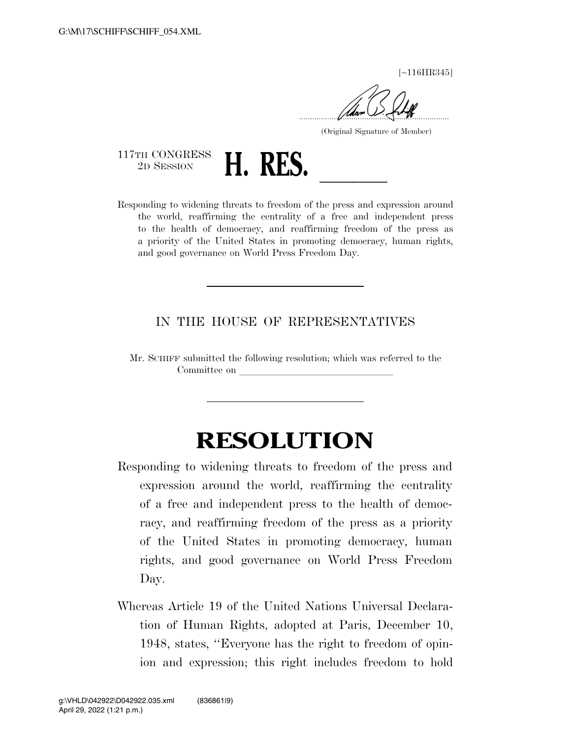[∼116HR345]

 $\sqrt{u}$ 

(Original Signature of Member)

117TH CONGRESS<br>2D SESSION



2D SESSION **H. RES. LES. Responding to widening threats to freedom of the press and expression around** the world, reaffirming the centrality of a free and independent press to the health of democracy, and reaffirming freedom of the press as a priority of the United States in promoting democracy, human rights, and good governance on World Press Freedom Day.

## IN THE HOUSE OF REPRESENTATIVES

Mr. SCHIFF submitted the following resolution; which was referred to the Committee on

## **RESOLUTION**

- Responding to widening threats to freedom of the press and expression around the world, reaffirming the centrality of a free and independent press to the health of democracy, and reaffirming freedom of the press as a priority of the United States in promoting democracy, human rights, and good governance on World Press Freedom Day.
- Whereas Article 19 of the United Nations Universal Declaration of Human Rights, adopted at Paris, December 10, 1948, states, ''Everyone has the right to freedom of opinion and expression; this right includes freedom to hold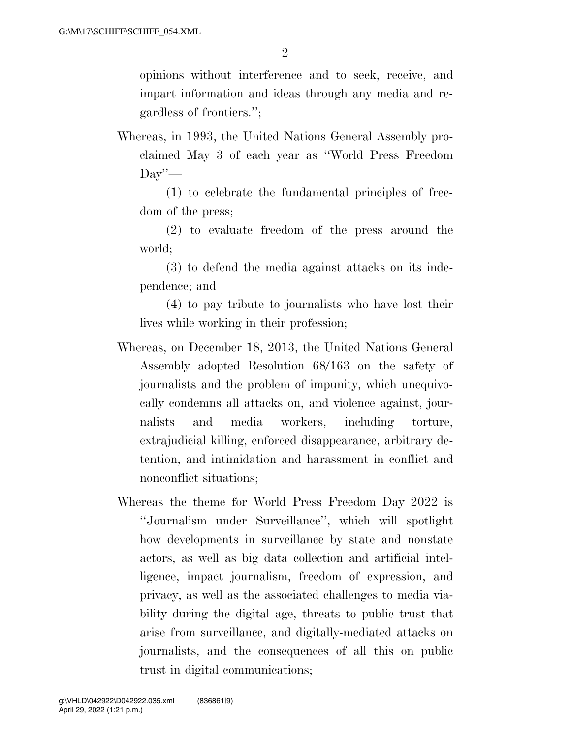opinions without interference and to seek, receive, and impart information and ideas through any media and regardless of frontiers.'';

Whereas, in 1993, the United Nations General Assembly proclaimed May 3 of each year as ''World Press Freedom  $\mathrm{Day}$ '—

(1) to celebrate the fundamental principles of freedom of the press;

(2) to evaluate freedom of the press around the world;

(3) to defend the media against attacks on its independence; and

(4) to pay tribute to journalists who have lost their lives while working in their profession;

- Whereas, on December 18, 2013, the United Nations General Assembly adopted Resolution 68/163 on the safety of journalists and the problem of impunity, which unequivocally condemns all attacks on, and violence against, journalists and media workers, including torture, extrajudicial killing, enforced disappearance, arbitrary detention, and intimidation and harassment in conflict and nonconflict situations;
- Whereas the theme for World Press Freedom Day 2022 is ''Journalism under Surveillance'', which will spotlight how developments in surveillance by state and nonstate actors, as well as big data collection and artificial intelligence, impact journalism, freedom of expression, and privacy, as well as the associated challenges to media viability during the digital age, threats to public trust that arise from surveillance, and digitally-mediated attacks on journalists, and the consequences of all this on public trust in digital communications;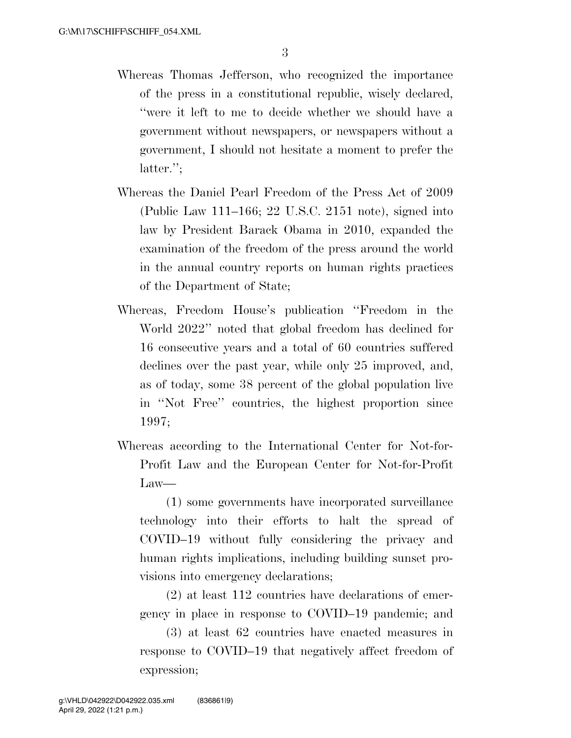- Whereas Thomas Jefferson, who recognized the importance of the press in a constitutional republic, wisely declared, ''were it left to me to decide whether we should have a government without newspapers, or newspapers without a government, I should not hesitate a moment to prefer the latter.'';
- Whereas the Daniel Pearl Freedom of the Press Act of 2009 (Public Law 111–166; 22 U.S.C. 2151 note), signed into law by President Barack Obama in 2010, expanded the examination of the freedom of the press around the world in the annual country reports on human rights practices of the Department of State;
- Whereas, Freedom House's publication ''Freedom in the World 2022'' noted that global freedom has declined for 16 consecutive years and a total of 60 countries suffered declines over the past year, while only 25 improved, and, as of today, some 38 percent of the global population live in ''Not Free'' countries, the highest proportion since 1997;
- Whereas according to the International Center for Not-for-Profit Law and the European Center for Not-for-Profit Law—

(1) some governments have incorporated surveillance technology into their efforts to halt the spread of COVID–19 without fully considering the privacy and human rights implications, including building sunset provisions into emergency declarations;

(2) at least 112 countries have declarations of emergency in place in response to COVID–19 pandemic; and

(3) at least 62 countries have enacted measures in response to COVID–19 that negatively affect freedom of expression;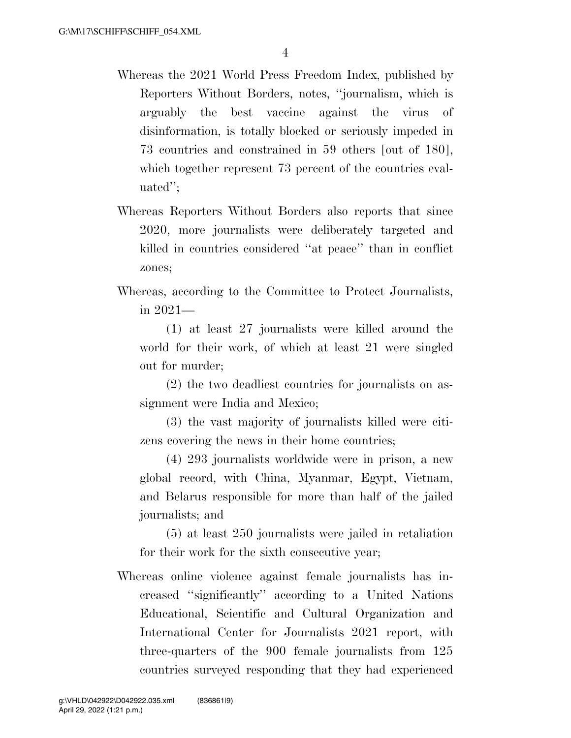- Whereas the 2021 World Press Freedom Index, published by Reporters Without Borders, notes, ''journalism, which is arguably the best vaccine against the virus of disinformation, is totally blocked or seriously impeded in 73 countries and constrained in 59 others [out of 180], which together represent 73 percent of the countries evaluated'';
- Whereas Reporters Without Borders also reports that since 2020, more journalists were deliberately targeted and killed in countries considered ''at peace'' than in conflict zones;
- Whereas, according to the Committee to Protect Journalists, in 2021—

(1) at least 27 journalists were killed around the world for their work, of which at least 21 were singled out for murder;

(2) the two deadliest countries for journalists on assignment were India and Mexico;

(3) the vast majority of journalists killed were citizens covering the news in their home countries;

(4) 293 journalists worldwide were in prison, a new global record, with China, Myanmar, Egypt, Vietnam, and Belarus responsible for more than half of the jailed journalists; and

(5) at least 250 journalists were jailed in retaliation for their work for the sixth consecutive year;

Whereas online violence against female journalists has increased ''significantly'' according to a United Nations Educational, Scientific and Cultural Organization and International Center for Journalists 2021 report, with three-quarters of the 900 female journalists from 125 countries surveyed responding that they had experienced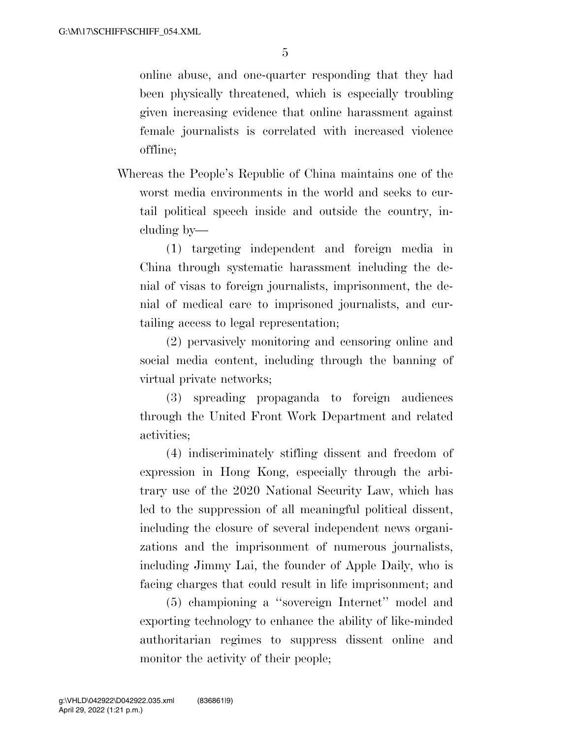online abuse, and one-quarter responding that they had been physically threatened, which is especially troubling given increasing evidence that online harassment against female journalists is correlated with increased violence offline;

Whereas the People's Republic of China maintains one of the worst media environments in the world and seeks to curtail political speech inside and outside the country, including by—

(1) targeting independent and foreign media in China through systematic harassment including the denial of visas to foreign journalists, imprisonment, the denial of medical care to imprisoned journalists, and curtailing access to legal representation;

(2) pervasively monitoring and censoring online and social media content, including through the banning of virtual private networks;

(3) spreading propaganda to foreign audiences through the United Front Work Department and related activities;

(4) indiscriminately stifling dissent and freedom of expression in Hong Kong, especially through the arbitrary use of the 2020 National Security Law, which has led to the suppression of all meaningful political dissent, including the closure of several independent news organizations and the imprisonment of numerous journalists, including Jimmy Lai, the founder of Apple Daily, who is facing charges that could result in life imprisonment; and

(5) championing a ''sovereign Internet'' model and exporting technology to enhance the ability of like-minded authoritarian regimes to suppress dissent online and monitor the activity of their people;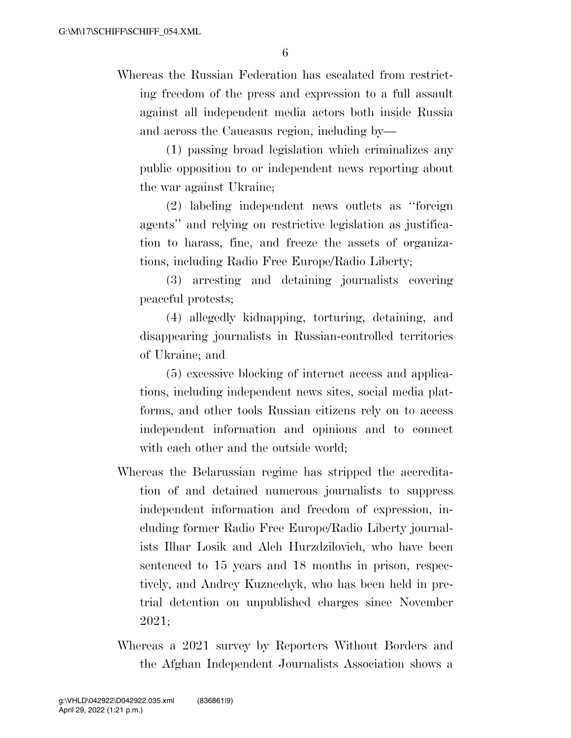Whereas the Russian Federation has escalated from restricting freedom of the press and expression to a full assault against all independent media actors both inside Russia and across the Caucasus region, including by—

(1) passing broad legislation which criminalizes any public opposition to or independent news reporting about the war against Ukraine;

(2) labeling independent news outlets as ''foreign agents'' and relying on restrictive legislation as justification to harass, fine, and freeze the assets of organizations, including Radio Free Europe/Radio Liberty;

(3) arresting and detaining journalists covering peaceful protests;

(4) allegedly kidnapping, torturing, detaining, and disappearing journalists in Russian-controlled territories of Ukraine; and

(5) excessive blocking of internet access and applications, including independent news sites, social media platforms, and other tools Russian citizens rely on to access independent information and opinions and to connect with each other and the outside world;

- Whereas the Belarussian regime has stripped the accreditation of and detained numerous journalists to suppress independent information and freedom of expression, including former Radio Free Europe/Radio Liberty journalists Ilhar Losik and Aleh Hurzdzilovich, who have been sentenced to 15 years and 18 months in prison, respectively, and Andrey Kuznechyk, who has been held in pretrial detention on unpublished charges since November 2021;
- Whereas a 2021 survey by Reporters Without Borders and the Afghan Independent Journalists Association shows a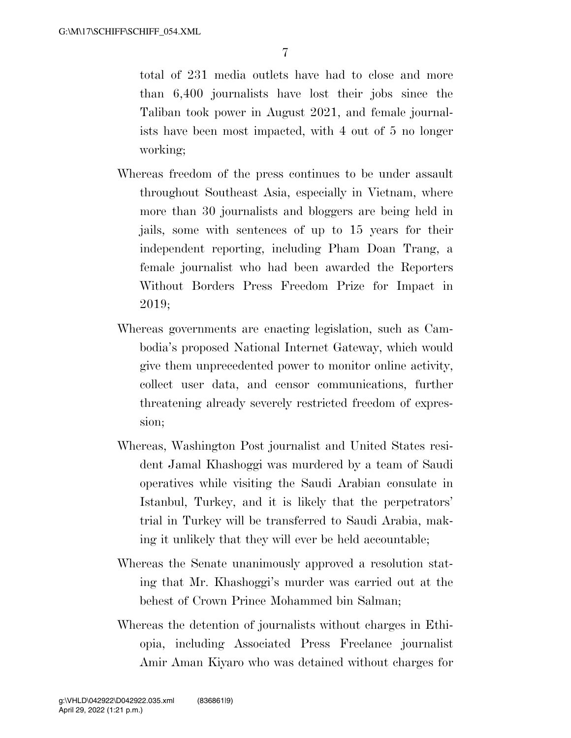total of 231 media outlets have had to close and more than 6,400 journalists have lost their jobs since the Taliban took power in August 2021, and female journalists have been most impacted, with 4 out of 5 no longer working;

- Whereas freedom of the press continues to be under assault throughout Southeast Asia, especially in Vietnam, where more than 30 journalists and bloggers are being held in jails, some with sentences of up to 15 years for their independent reporting, including Pham Doan Trang, a female journalist who had been awarded the Reporters Without Borders Press Freedom Prize for Impact in 2019;
- Whereas governments are enacting legislation, such as Cambodia's proposed National Internet Gateway, which would give them unprecedented power to monitor online activity, collect user data, and censor communications, further threatening already severely restricted freedom of expression;
- Whereas, Washington Post journalist and United States resident Jamal Khashoggi was murdered by a team of Saudi operatives while visiting the Saudi Arabian consulate in Istanbul, Turkey, and it is likely that the perpetrators' trial in Turkey will be transferred to Saudi Arabia, making it unlikely that they will ever be held accountable;
- Whereas the Senate unanimously approved a resolution stating that Mr. Khashoggi's murder was carried out at the behest of Crown Prince Mohammed bin Salman;
- Whereas the detention of journalists without charges in Ethiopia, including Associated Press Freelance journalist Amir Aman Kiyaro who was detained without charges for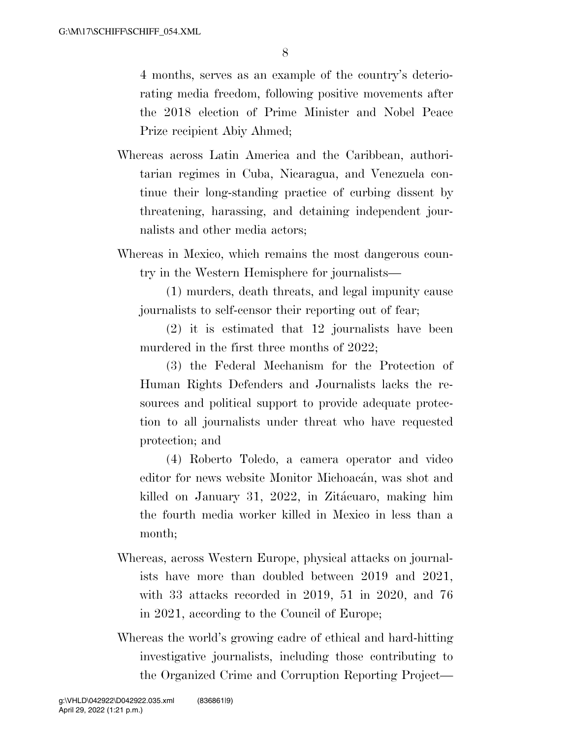8

4 months, serves as an example of the country's deteriorating media freedom, following positive movements after the 2018 election of Prime Minister and Nobel Peace Prize recipient Abiy Ahmed;

- Whereas across Latin America and the Caribbean, authoritarian regimes in Cuba, Nicaragua, and Venezuela continue their long-standing practice of curbing dissent by threatening, harassing, and detaining independent journalists and other media actors;
- Whereas in Mexico, which remains the most dangerous country in the Western Hemisphere for journalists—

(1) murders, death threats, and legal impunity cause journalists to self-censor their reporting out of fear;

(2) it is estimated that 12 journalists have been murdered in the first three months of 2022;

(3) the Federal Mechanism for the Protection of Human Rights Defenders and Journalists lacks the resources and political support to provide adequate protection to all journalists under threat who have requested protection; and

(4) Roberto Toledo, a camera operator and video editor for news website Monitor Michoacán, was shot and killed on January 31, 2022, in Zitácuaro, making him the fourth media worker killed in Mexico in less than a month;

- Whereas, across Western Europe, physical attacks on journalists have more than doubled between 2019 and 2021, with 33 attacks recorded in 2019, 51 in 2020, and 76 in 2021, according to the Council of Europe;
- Whereas the world's growing cadre of ethical and hard-hitting investigative journalists, including those contributing to the Organized Crime and Corruption Reporting Project—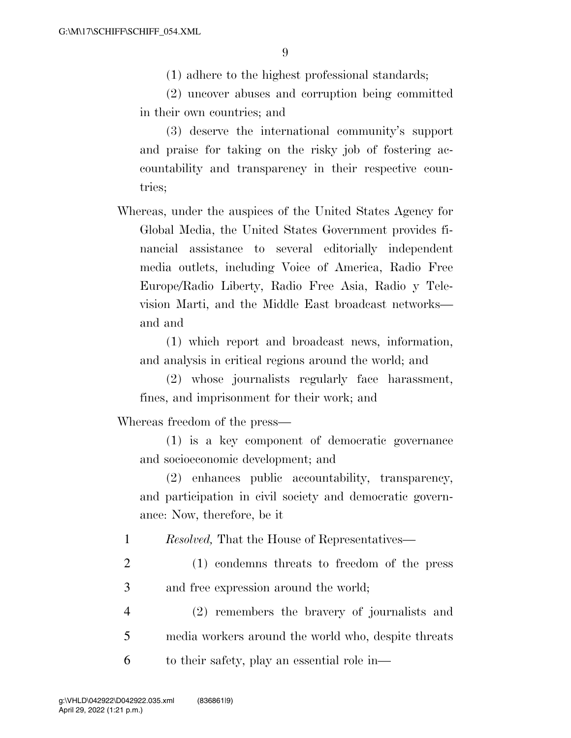(1) adhere to the highest professional standards;

(2) uncover abuses and corruption being committed in their own countries; and

(3) deserve the international community's support and praise for taking on the risky job of fostering accountability and transparency in their respective countries;

Whereas, under the auspices of the United States Agency for Global Media, the United States Government provides financial assistance to several editorially independent media outlets, including Voice of America, Radio Free Europe/Radio Liberty, Radio Free Asia, Radio y Television Marti, and the Middle East broadcast networks and and

(1) which report and broadcast news, information, and analysis in critical regions around the world; and

(2) whose journalists regularly face harassment, fines, and imprisonment for their work; and

Whereas freedom of the press—

(1) is a key component of democratic governance and socioeconomic development; and

(2) enhances public accountability, transparency, and participation in civil society and democratic governance: Now, therefore, be it

1 *Resolved,* That the House of Representatives—

2 (1) condemns threats to freedom of the press 3 and free expression around the world;

4 (2) remembers the bravery of journalists and 5 media workers around the world who, despite threats 6 to their safety, play an essential role in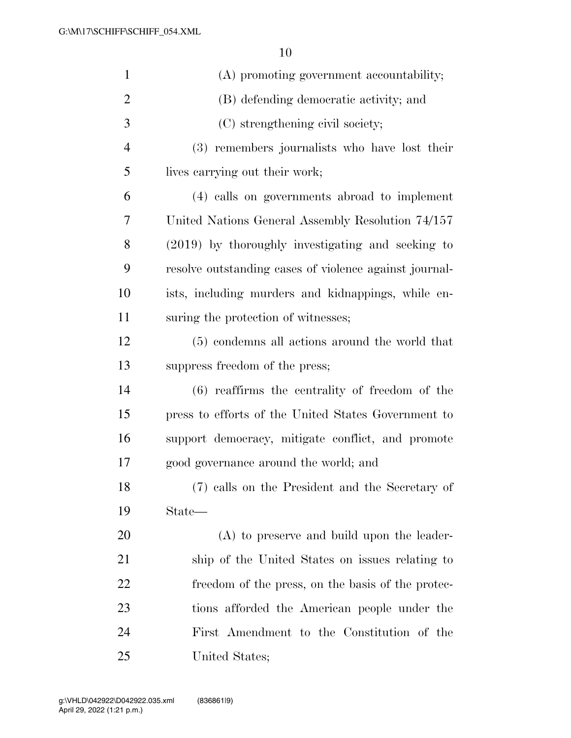| $\mathbf{1}$   | (A) promoting government accountability;               |
|----------------|--------------------------------------------------------|
| $\overline{2}$ | (B) defending democratic activity; and                 |
| 3              | (C) strengthening civil society;                       |
| $\overline{4}$ | (3) remembers journalists who have lost their          |
| 5              | lives carrying out their work;                         |
| 6              | (4) calls on governments abroad to implement           |
| 7              | United Nations General Assembly Resolution 74/157      |
| 8              | $(2019)$ by thoroughly investigating and seeking to    |
| 9              | resolve outstanding cases of violence against journal- |
| 10             | ists, including murders and kidnappings, while en-     |
| 11             | suring the protection of witnesses;                    |
| 12             | (5) condemns all actions around the world that         |
| 13             | suppress freedom of the press;                         |
| 14             | $(6)$ reaffirms the centrality of freedom of the       |
| 15             | press to efforts of the United States Government to    |
| 16             | support democracy, mitigate conflict, and promote      |
| 17             | good governance around the world; and                  |
| 18             | (7) calls on the President and the Secretary of        |
| 19             | State—                                                 |
| 20             | $(A)$ to preserve and build upon the leader-           |
| 21             | ship of the United States on issues relating to        |
| 22             | freedom of the press, on the basis of the protec-      |
| 23             | tions afforded the American people under the           |
| 24             | First Amendment to the Constitution of the             |
| 25             | United States;                                         |